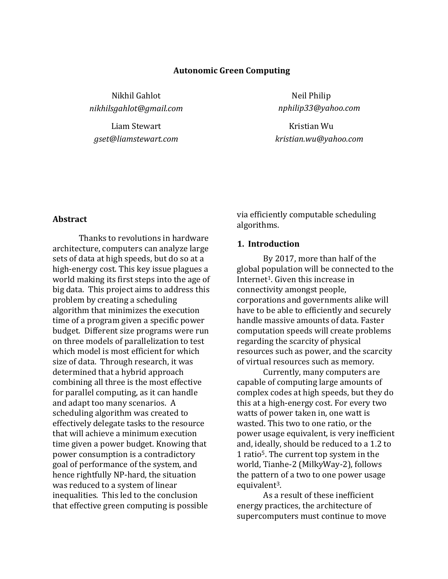#### **Autonomic Green Computing**

Nikhil Gahlot *[nikhilsgahlot@gmail.com](mailto:nikhilsgahlot@gmail.com)*

Liam Stewart *gset@liamstewart.com*

Neil Philip *nphilip33@yahoo.com*

Kristian Wu *kristian.wu@yahoo.com*

#### **Abstract**

Thanks to revolutions in hardware architecture, computers can analyze large sets of data at high speeds, but do so at a high-energy cost. This key issue plagues a world making its first steps into the age of big data. This project aims to address this problem by creating a scheduling algorithm that minimizes the execution time of a program given a specific power budget. Different size programs were run on three models of parallelization to test which model is most efficient for which size of data. Through research, it was determined that a hybrid approach combining all three is the most effective for parallel computing, as it can handle and adapt too many scenarios. A scheduling algorithm was created to effectively delegate tasks to the resource that will achieve a minimum execution time given a power budget. Knowing that power consumption is a contradictory goal of performance of the system, and hence rightfully NP-hard, the situation was reduced to a system of linear inequalities. This led to the conclusion that effective green computing is possible

via efficiently computable scheduling algorithms.

#### **1. Introduction**

By 2017, more than half of the global population will be connected to the Internet1. Given this increase in connectivity amongst people, corporations and governments alike will have to be able to efficiently and securely handle massive amounts of data. Faster computation speeds will create problems regarding the scarcity of physical resources such as power, and the scarcity of virtual resources such as memory.

Currently, many computers are capable of computing large amounts of complex codes at high speeds, but they do this at a high-energy cost. For every two watts of power taken in, one watt is wasted. This two to one ratio, or the power usage equivalent, is very inefficient and, ideally, should be reduced to a 1.2 to 1 ratio5. The current top system in the world, Tianhe-2 (MilkyWay-2), follows the pattern of a two to one power usage equivalent<sup>3</sup>.

As a result of these inefficient energy practices, the architecture of supercomputers must continue to move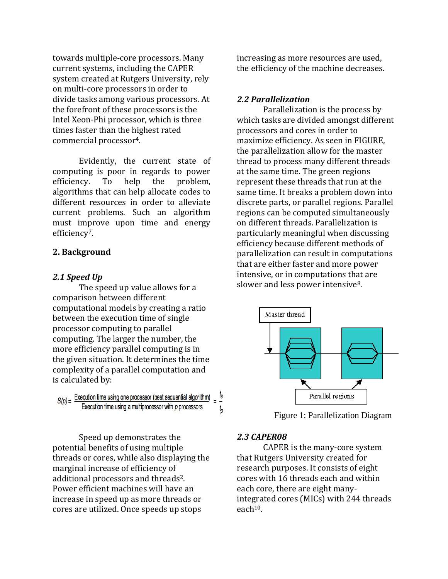towards multiple-core processors. Many current systems, including the CAPER system created at Rutgers University, rely on multi-core processors in order to divide tasks among various processors. At the forefront of these processors is the Intel Xeon-Phi processor, which is three times faster than the highest rated commercial processor4.

Evidently, the current state of computing is poor in regards to power efficiency. To help the problem, algorithms that can help allocate codes to different resources in order to alleviate current problems. Such an algorithm must improve upon time and energy efficiency7.

#### **2. Background**

### *2.1 Speed Up*

The speed up value allows for a comparison between different computational models by creating a ratio between the execution time of single processor computing to parallel computing. The larger the number, the more efficiency parallel computing is in the given situation. It determines the time complexity of a parallel computation and is calculated by:

 $S(p) =$  Execution time using one processor (best sequential algorithm) Execution time using a multiprocessor with  $p$  processors  $t_{p}$ 

Speed up demonstrates the potential benefits of using multiple threads or cores, while also displaying the marginal increase of efficiency of additional processors and threads2. Power efficient machines will have an increase in speed up as more threads or cores are utilized. Once speeds up stops

increasing as more resources are used, the efficiency of the machine decreases.

#### *2.2 Parallelization*

Parallelization is the process by which tasks are divided amongst different processors and cores in order to maximize efficiency. As seen in FIGURE, the parallelization allow for the master thread to process many different threads at the same time. The green regions represent these threads that run at the same time. It breaks a problem down into discrete parts, or parallel regions. Parallel regions can be computed simultaneously on different threads. Parallelization is particularly meaningful when discussing efficiency because different methods of parallelization can result in computations that are either faster and more power intensive, or in computations that are slower and less power intensive<sup>8</sup>.



Figure 1: Parallelization Diagram

#### *2.3 CAPER08*

CAPER is the many-core system that Rutgers University created for research purposes. It consists of eight cores with 16 threads each and within each core, there are eight manyintegrated cores (MICs) with 244 threads each<sup>10</sup>.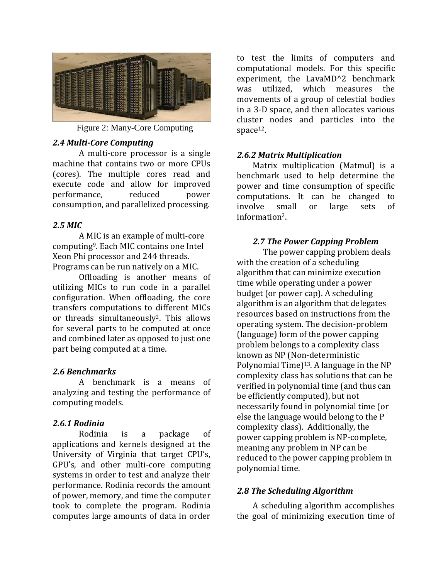

Figure 2: Many-Core Computing

# *2.4 Multi-Core Computing*

A multi-core processor is a single machine that contains two or more CPUs (cores). The multiple cores read and execute code and allow for improved performance, reduced power consumption, and parallelized processing.

# *2.5 MIC*

A MIC is an example of multi-core computing9. Each MIC contains one Intel Xeon Phi processor and 244 threads. Programs can be run natively on a MIC.

Offloading is another means of utilizing MICs to run code in a parallel configuration. When offloading, the core transfers computations to different MICs or threads simultaneously2. This allows for several parts to be computed at once and combined later as opposed to just one part being computed at a time.

# *2.6 Benchmarks*

A benchmark is a means of analyzing and testing the performance of computing models.

# *2.6.1 Rodinia*

Rodinia is a package of applications and kernels designed at the University of Virginia that target CPU's, GPU's, and other multi-core computing systems in order to test and analyze their performance. Rodinia records the amount of power, memory, and time the computer took to complete the program. Rodinia computes large amounts of data in order to test the limits of computers and computational models. For this specific experiment, the LavaMD^2 benchmark was utilized, which measures the movements of a group of celestial bodies in a 3-D space, and then allocates various cluster nodes and particles into the space<sup>12</sup>.

# *2.6.2 Matrix Multiplication*

Matrix multiplication (Matmul) is a benchmark used to help determine the power and time consumption of specific computations. It can be changed to involve small or large sets of information2.

# *2.7 The Power Capping Problem*

The power capping problem deals with the creation of a scheduling algorithm that can minimize execution time while operating under a power budget (or power cap). A scheduling algorithm is an algorithm that delegates resources based on instructions from the operating system. The decision-problem (language) form of the power capping problem belongs to a complexity class known as NP (Non-deterministic Polynomial Time)<sup>13</sup>. A language in the NP complexity class has solutions that can be verified in polynomial time (and thus can be efficiently computed), but not necessarily found in polynomial time (or else the language would belong to the P complexity class). Additionally, the power capping problem is NP-complete, meaning any problem in NP can be reduced to the power capping problem in polynomial time.

# *2.8 The Scheduling Algorithm*

A scheduling algorithm accomplishes the goal of minimizing execution time of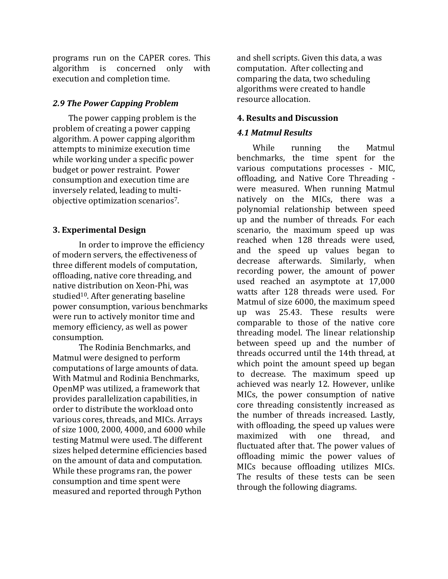programs run on the CAPER cores. This algorithm is concerned only with execution and completion time.

### *2.9 The Power Capping Problem*

The power capping problem is the problem of creating a power capping algorithm. A power capping algorithm attempts to minimize execution time while working under a specific power budget or power restraint. Power consumption and execution time are inversely related, leading to multiobjective optimization scenarios7.

### **3. Experimental Design**

In order to improve the efficiency of modern servers, the effectiveness of three different models of computation, offloading, native core threading, and native distribution on Xeon-Phi, was studied<sup>10</sup>. After generating baseline power consumption, various benchmarks were run to actively monitor time and memory efficiency, as well as power consumption.

The Rodinia Benchmarks, and Matmul were designed to perform computations of large amounts of data. With Matmul and Rodinia Benchmarks, OpenMP was utilized, a framework that provides parallelization capabilities, in order to distribute the workload onto various cores, threads, and MICs. Arrays of size 1000, 2000, 4000, and 6000 while testing Matmul were used. The different sizes helped determine efficiencies based on the amount of data and computation. While these programs ran, the power consumption and time spent were measured and reported through Python

and shell scripts. Given this data, a was computation. After collecting and comparing the data, two scheduling algorithms were created to handle resource allocation.

### **4. Results and Discussion**

### *4.1 Matmul Results*

While running the Matmul benchmarks, the time spent for the various computations processes - MIC, offloading, and Native Core Threading were measured. When running Matmul natively on the MICs, there was a polynomial relationship between speed up and the number of threads. For each scenario, the maximum speed up was reached when 128 threads were used, and the speed up values began to decrease afterwards. Similarly, when recording power, the amount of power used reached an asymptote at 17,000 watts after 128 threads were used. For Matmul of size 6000, the maximum speed up was 25.43. These results were comparable to those of the native core threading model. The linear relationship between speed up and the number of threads occurred until the 14th thread, at which point the amount speed up began to decrease. The maximum speed up achieved was nearly 12. However, unlike MICs, the power consumption of native core threading consistently increased as the number of threads increased. Lastly, with offloading, the speed up values were maximized with one thread, and fluctuated after that. The power values of offloading mimic the power values of MICs because offloading utilizes MICs. The results of these tests can be seen through the following diagrams.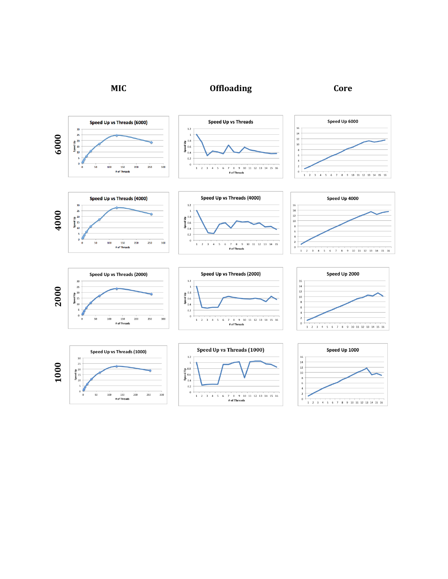

# **MIC Offloading Core**















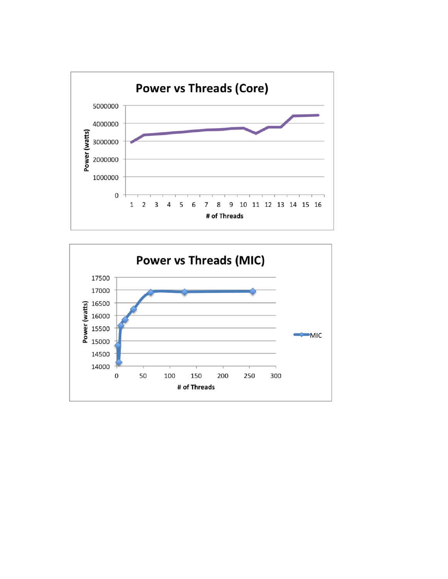

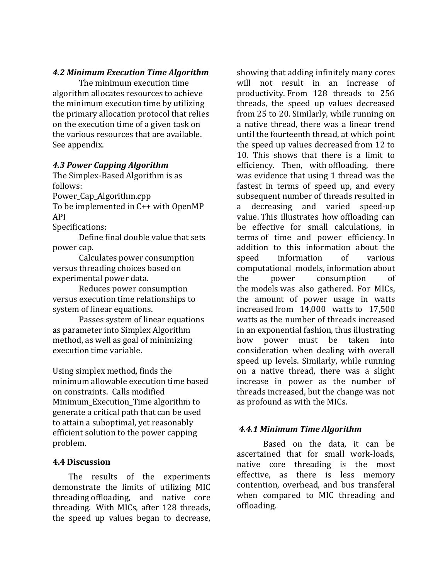### *4.2 Minimum Execution Time Algorithm*

The minimum execution time algorithm allocates resources to achieve the minimum execution time by utilizing the primary allocation protocol that relies on the execution time of a given task on the various resources that are available. See appendix.

#### *4.3 Power Capping Algorithm*

The Simplex-Based Algorithm is as follows:

Power\_Cap\_Algorithm.cpp

To be implemented in C++ with OpenMP API

Specifications:

Define final double value that sets power cap.

Calculates power consumption versus threading choices based on experimental power data.

Reduces power consumption versus execution time relationships to system of linear equations.

Passes system of linear equations as parameter into Simplex Algorithm method, as well as goal of minimizing execution time variable.

Using simplex method, finds the minimum allowable execution time based on constraints. Calls modified Minimum\_Execution\_Time algorithm to generate a critical path that can be used to attain a suboptimal, yet reasonably efficient solution to the power capping problem.

#### **4.4 Discussion**

The results of the experiments demonstrate the limits of utilizing MIC threading offloading, and native core threading. With MICs, after 128 threads, the speed up values began to decrease,

showing that adding infinitely many cores will not result in an increase of productivity. From 128 threads to 256 threads, the speed up values decreased from 25 to 20. Similarly, while running on a native thread, there was a linear trend until the fourteenth thread, at which point the speed up values decreased from 12 to 10. This shows that there is a limit to efficiency. Then, with offloading, there was evidence that using 1 thread was the fastest in terms of speed up, and every subsequent number of threads resulted in a decreasing and varied speed-up value. This illustrates how offloading can be effective for small calculations, in terms of time and power efficiency. In addition to this information about the speed information of various computational models, information about the power consumption of the models was also gathered. For MICs, the amount of power usage in watts increased from 14,000 watts to 17,500 watts as the number of threads increased in an exponential fashion, thus illustrating how power must be taken into consideration when dealing with overall speed up levels. Similarly, while running on a native thread, there was a slight increase in power as the number of threads increased, but the change was not as profound as with the MICs.

### *4.4.1 Minimum Time Algorithm*

Based on the data, it can be ascertained that for small work-loads, native core threading is the most effective, as there is less memory contention, overhead, and bus transferal when compared to MIC threading and offloading.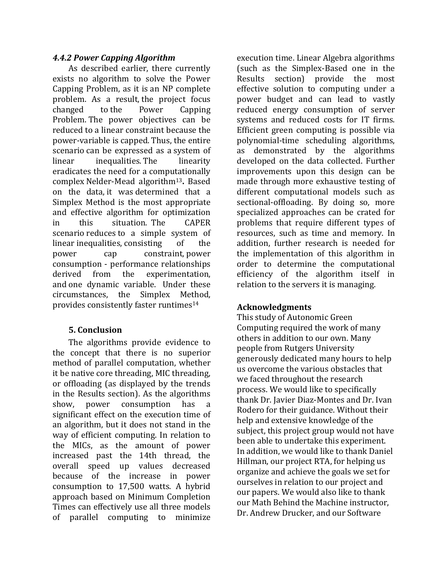# *4.4.2 Power Capping Algorithm*

As described earlier, there currently exists no algorithm to solve the Power Capping Problem, as it is an NP complete problem. As a result, the project focus changed to the Power Capping Problem. The power objectives can be reduced to a linear constraint because the power-variable is capped. Thus, the entire scenario can be expressed as a system of linear inequalities. The linearity eradicates the need for a computationally complex Nelder-Mead algorithm13**.**  Based on the data, it was determined that a Simplex Method is the most appropriate and effective algorithm for optimization in this situation. The CAPER scenario reduces to a simple system of linear inequalities, consisting of the power cap constraint, power consumption - performance relationships derived from the experimentation, and one dynamic variable. Under these circumstances, the Simplex Method, provides consistently faster runtimes<sup>14</sup>

# **5. Conclusion**

The algorithms provide evidence to the concept that there is no superior method of parallel computation, whether it be native core threading, MIC threading, or offloading (as displayed by the trends in the Results section). As the algorithms show, power consumption has a significant effect on the execution time of an algorithm, but it does not stand in the way of efficient computing. In relation to the MICs, as the amount of power increased past the 14th thread, the overall speed up values decreased because of the increase in power consumption to 17,500 watts. A hybrid approach based on Minimum Completion Times can effectively use all three models of parallel computing to minimize

execution time. Linear Algebra algorithms (such as the Simplex-Based one in the Results section) provide the most effective solution to computing under a power budget and can lead to vastly reduced energy consumption of server systems and reduced costs for IT firms. Efficient green computing is possible via polynomial-time scheduling algorithms, as demonstrated by the algorithms developed on the data collected. Further improvements upon this design can be made through more exhaustive testing of different computational models such as sectional-offloading. By doing so, more specialized approaches can be crated for problems that require different types of resources, such as time and memory. In addition, further research is needed for the implementation of this algorithm in order to determine the computational efficiency of the algorithm itself in relation to the servers it is managing.

# **Acknowledgments**

This study of Autonomic Green Computing required the work of many others in addition to our own. Many people from Rutgers University generously dedicated many hours to help us overcome the various obstacles that we faced throughout the research process. We would like to specifically thank Dr. Javier Diaz-Montes and Dr. Ivan Rodero for their guidance. Without their help and extensive knowledge of the subject, this project group would not have been able to undertake this experiment. In addition, we would like to thank Daniel Hillman, our project RTA, for helping us organize and achieve the goals we set for ourselves in relation to our project and our papers. We would also like to thank our Math Behind the Machine instructor, Dr. Andrew Drucker, and our Software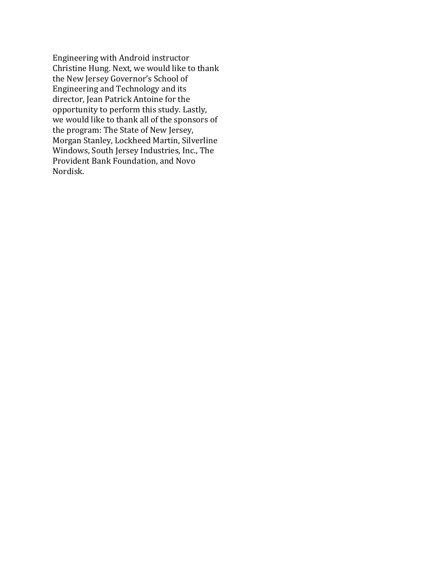Engineering with Android instructor Christine Hung. Next, we would like to thank the New Jersey Governor's School of Engineering and Technology and its director, Jean Patrick Antoine for the opportunity to perform this study. Lastly, we would like to thank all of the sponsors of the program: The State of New Jersey, Morgan Stanley, Lockheed Martin, Silverline Windows, South Jersey Industries, Inc., The Provident Bank Foundation, and Novo Nordisk.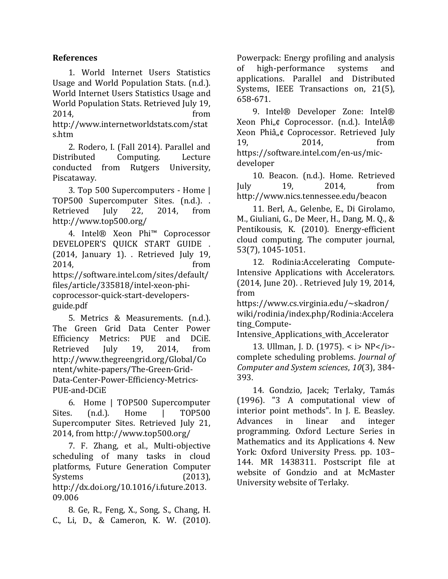# **References**

1. World Internet Users Statistics Usage and World Population Stats. (n.d.). World Internet Users Statistics Usage and World Population Stats. Retrieved July 19, 2014, from http://www.internetworldstats.com/stat s.htm

2. Rodero, I. (Fall 2014). Parallel and Distributed Computing. Lecture conducted from Rutgers University, Piscataway.

3. Top 500 Supercomputers - Home | TOP500 Supercomputer Sites. (n.d.). . Retrieved July 22, 2014, from http://www.top500.org/

4. Intel® Xeon Phi™ Coprocessor DEVELOPER'S QUICK START GUIDE . (2014, January 1). . Retrieved July 19, 2014, from https://software.intel.com/sites/default/ files/article/335818/intel-xeon-phicoprocessor-quick-start-developersguide.pdf

5. Metrics & Measurements. (n.d.). The Green Grid Data Center Power Efficiency Metrics: PUE and DCiE. Retrieved July 19, 2014, from http://www.thegreengrid.org/Global/Co ntent/white-papers/The-Green-Grid-Data-Center-Power-Efficiency-Metrics-PUE-and-DCiE

6. Home | TOP500 Supercomputer Sites. (n.d.). Home | TOP500 Supercomputer Sites. Retrieved July 21, 2014, from http://www.top500.org/

7. F. Zhang, et al., Multi-objective scheduling of many tasks in cloud platforms, Future Generation Computer Systems (2013), http://dx.doi.org/10.1016/i.future.2013. 09.006

8. Ge, R., Feng, X., Song, S., Chang, H. C., Li, D., & Cameron, K. W. (2010).

Powerpack: Energy profiling and analysis of high-performance systems and applications. Parallel and Distributed Systems, IEEE Transactions on, 21(5), 658-671.

9. Intel® Developer Zone: Intel® Xeon Phi<sub>n</sub>¢ Coprocessor. (n.d.). Intel $\hat{A} \otimes$ Xeon Phiâ"¢ Coprocessor. Retrieved July 19, 2014, from https://software.intel.com/en-us/micdeveloper

10. Beacon. (n.d.). Home. Retrieved July 19, 2014, from http://www.nics.tennessee.edu/beacon

11. Berl, A., Gelenbe, E., Di Girolamo, M., Giuliani, G., De Meer, H., Dang, M. Q., & Pentikousis, K. (2010). Energy-efficient cloud computing. The computer journal, 53(7), 1045-1051.

12. Rodinia:Accelerating Compute-Intensive Applications with Accelerators. (2014, June 20). . Retrieved July 19, 2014, from

https://www.cs.virginia.edu/~skadron/ wiki/rodinia/index.php/Rodinia:Accelera ting\_Compute-

Intensive\_Applications\_with\_Accelerator

13. Ullman, J. D. (1975). < i> NP</i>complete scheduling problems. *Journal of Computer and System sciences*, *10*(3), 384- 393.

14. Gondzio, Jacek; Terlaky, Tamás (1996). "3 A computational view of interior point methods". In J. E. Beasley. Advances in linear and integer programming. Oxford Lecture Series in Mathematics and its Applications 4. New York: Oxford University Press. pp. 103– 144. MR 1438311. Postscript file at website of Gondzio and at McMaster University website of Terlaky.